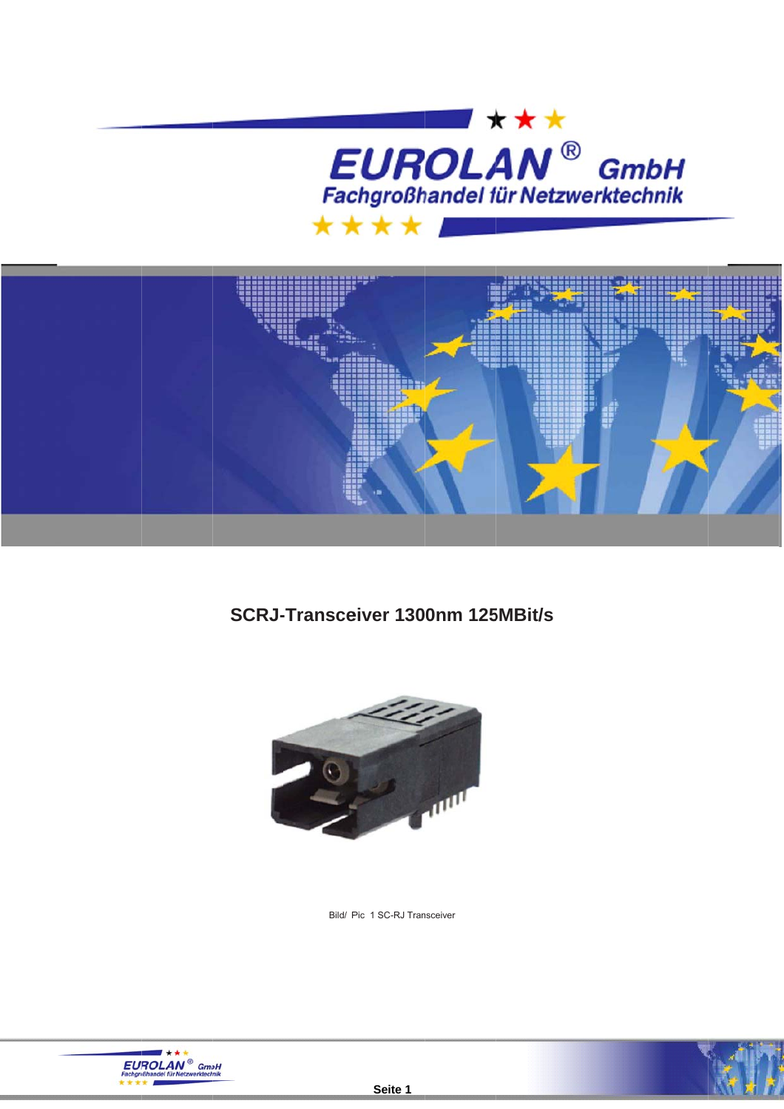



**SCRJ-Transceiver 1300nm 125MBit/s** 



Bild/ Pic 1 SC-RJ Transceiver



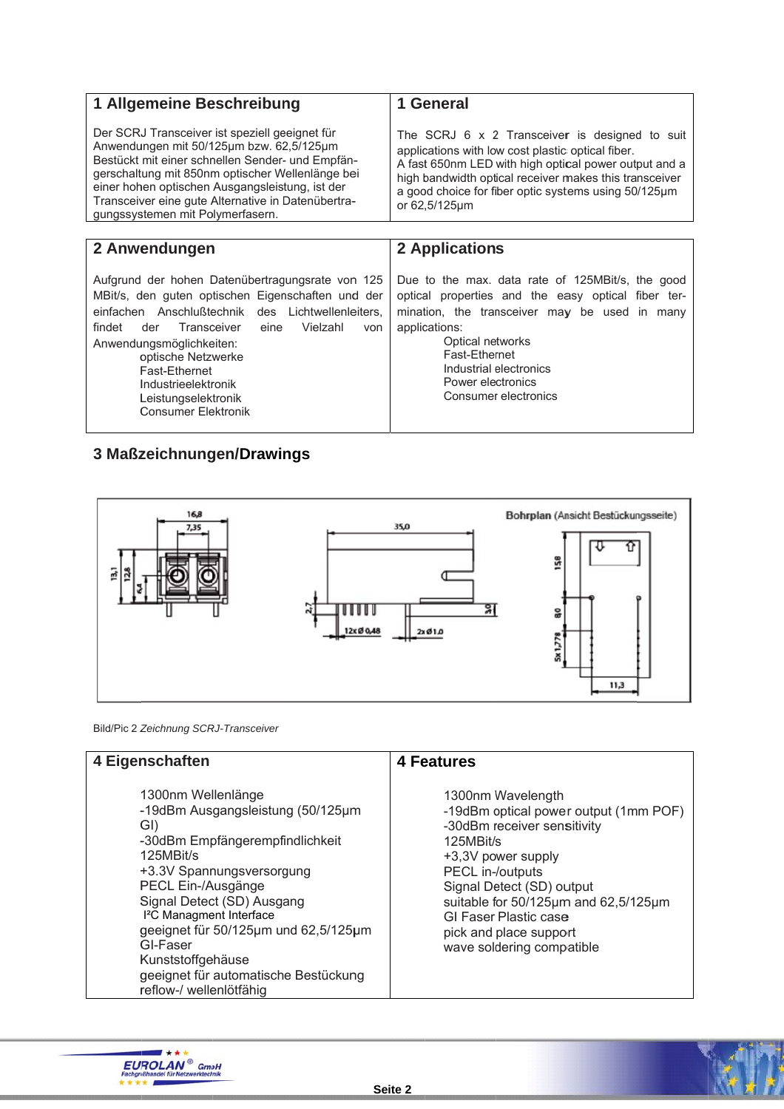| 1 Allgemeine Beschreibung                                                                                                                                                                                                                                                                                                                                            | 1 General                                                                                                                                                                                                                                                                                              |  |
|----------------------------------------------------------------------------------------------------------------------------------------------------------------------------------------------------------------------------------------------------------------------------------------------------------------------------------------------------------------------|--------------------------------------------------------------------------------------------------------------------------------------------------------------------------------------------------------------------------------------------------------------------------------------------------------|--|
| Der SCRJ Transceiver ist speziell geeignet für<br>Anwendungen mit 50/125µm bzw. 62,5/125µm<br>Bestückt mit einer schnellen Sender- und Empfän-<br>gerschaltung mit 850nm optischer Wellenlänge bei<br>einer hohen optischen Ausgangsleistung, ist der<br>Transceiver eine gute Alternative in Datenübertra-<br>gungssystemen mit Polymerfasern.                      | The SCRJ $6 \times 2$ Transceiver is designed to suit<br>applications with low cost plastic optical fiber.<br>A fast 650nm LED with high optical power output and a<br>high bandwidth optical receiver makes this transceiver<br>a good choice for fiber optic systems using 50/125µm<br>or 62,5/125µm |  |
|                                                                                                                                                                                                                                                                                                                                                                      |                                                                                                                                                                                                                                                                                                        |  |
| 2 Anwendungen                                                                                                                                                                                                                                                                                                                                                        | 2 Applications                                                                                                                                                                                                                                                                                         |  |
| Aufgrund der hohen Datenübertragungsrate von 125<br>MBit/s, den guten optischen Eigenschaften und der<br>einfachen Anschlußtechnik des Lichtwellenleiters,<br>findet<br>Transceiver<br>Vielzahl<br>der<br>eine<br>von<br>Anwendungsmöglichkeiten:<br>optische Netzwerke<br>Fast-Fthernet<br>Industrieelektronik<br>Leistungselektronik<br><b>Consumer Elektronik</b> | Due to the max. data rate of 125MBit/s, the good<br>optical properties and the easy optical fiber ter-<br>mination, the transceiver may be used in many<br>applications:<br>Optical networks<br>Fast-Ethernet<br>Industrial electronics<br>Power electronics<br>Consumer electronics                   |  |
| 3 Maßzeichnungen/Drawings                                                                                                                                                                                                                                                                                                                                            |                                                                                                                                                                                                                                                                                                        |  |



Bild/Pic 2 Zeichnung SCRJ-Transceiver

| 4 Eigenschaften                                                                                                                                                                                                                                                                                                                                                                     | 4 Features                                                                                                                                                                                                                                                                                                   |  |
|-------------------------------------------------------------------------------------------------------------------------------------------------------------------------------------------------------------------------------------------------------------------------------------------------------------------------------------------------------------------------------------|--------------------------------------------------------------------------------------------------------------------------------------------------------------------------------------------------------------------------------------------------------------------------------------------------------------|--|
| 1300nm Wellenlänge<br>-19dBm Ausgangsleistung (50/125µm<br>GI)<br>-30dBm Empfängerempfindlichkeit<br>125MBit/s<br>+3.3V Spannungsversorgung<br>PECL Ein-/Ausgänge<br>Signal Detect (SD) Ausgang<br>I <sup>2</sup> C Managment Interface<br>geeignet für 50/125µm und 62,5/125µm<br>GI-Faser<br>Kunststoffgehäuse<br>geeignet für automatische Bestückung<br>reflow-/ wellenlötfähig | 1300nm Wavelength<br>-19dBm optical power output (1mm POF)<br>-30dBm receiver sensitivity<br>125MBit/s<br>+3,3V power supply<br>PECL in-/outputs<br>Signal Detect (SD) output<br>suitable for 50/125µm and 62,5/125µm<br><b>GI Faser Plastic case</b><br>pick and place support<br>wave soldering compatible |  |



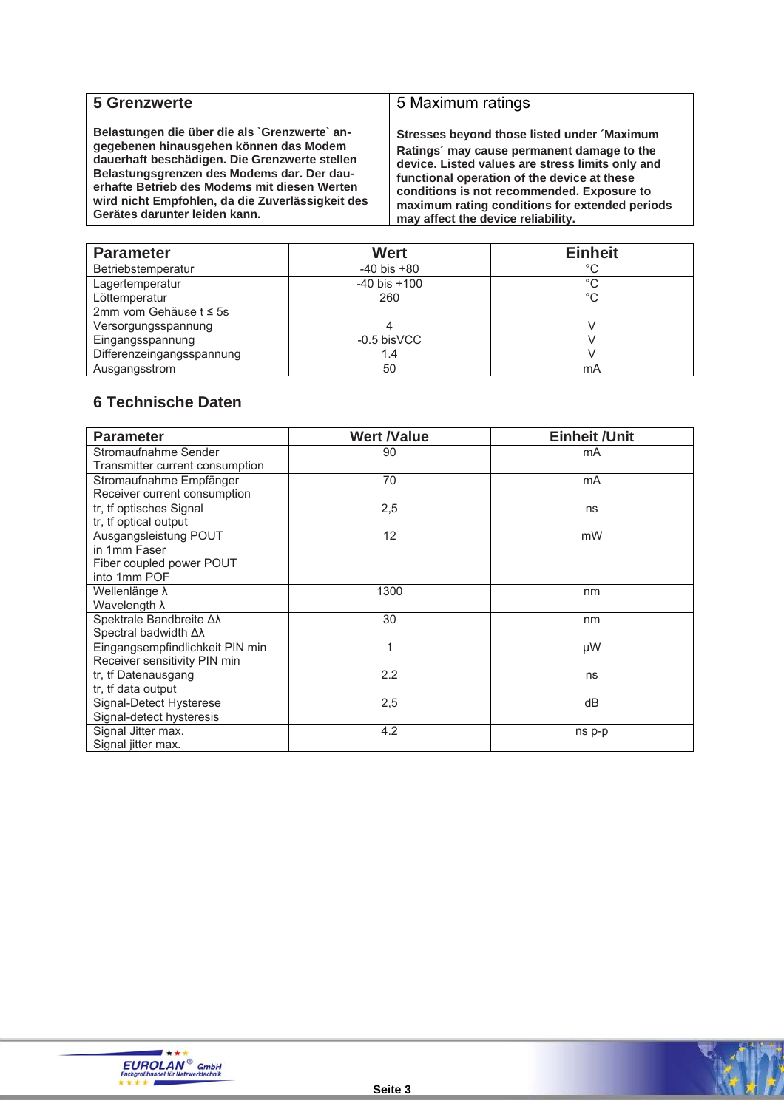#### **5 Grenzwerte**

**Belastungen die über die als `Grenzwerte` angegebenen hinausgehen können das Modem dauerhaft beschädigen. Die Grenzwerte stellen Belastungsgrenzen des Modems dar. Der dauerhafte Betrieb des Modems mit diesen Werten wird nicht Empfohlen, da die Zuverlässigkeit des Gerätes darunter leiden kann.**

#### 5 Maximum ratings

**Stresses beyond those listed under ´Maximum Ratings´ may cause permanent damage to the device. Listed values are stress limits only and functional operation of the device at these conditions is not recommended. Exposure to maximum rating conditions for extended periods may affect the device reliability.**

| <b>Parameter</b>          | <b>Wert</b>      | <b>Einheit</b> |
|---------------------------|------------------|----------------|
| Betriebstemperatur        | $-40$ bis $+80$  | °C             |
| Lagertemperatur           | $-40$ bis $+100$ | $^{\circ}C$    |
| Löttemperatur             | 260              | $^{\circ}C$    |
| 2mm vom Gehäuse t ≤ 5s    |                  |                |
| Versorgungsspannung       |                  |                |
| Eingangsspannung          | $-0.5$ bisVCC    |                |
| Differenzeingangsspannung |                  |                |
| Ausgangsstrom             | 50               | mA             |

#### **6 Technische Daten**

| <b>Parameter</b>                                                                  | <b>Wert /Value</b> | <b>Einheit / Unit</b> |
|-----------------------------------------------------------------------------------|--------------------|-----------------------|
| Stromaufnahme Sender<br>Transmitter current consumption                           | 90                 | mA                    |
| Stromaufnahme Empfänger<br>Receiver current consumption                           | 70                 | mA                    |
| tr, tf optisches Signal<br>tr, tf optical output                                  | 2,5                | ns                    |
| Ausgangsleistung POUT<br>in 1mm Faser<br>Fiber coupled power POUT<br>into 1mm POF | 12                 | mW                    |
| Wellenlänge λ<br>Wavelength λ                                                     | 1300               | nm                    |
| Spektrale Bandbreite Δλ<br>Spectral badwidth Δλ                                   | 30                 | nm                    |
| Eingangsempfindlichkeit PIN min<br>Receiver sensitivity PIN min                   | 1                  | μW                    |
| tr, tf Datenausgang<br>tr, tf data output                                         | 2.2                | ns                    |
| Signal-Detect Hysterese<br>Signal-detect hysteresis                               | 2,5                | dB                    |
| Signal Jitter max.<br>Signal jitter max.                                          | 4.2                | ns p-p                |



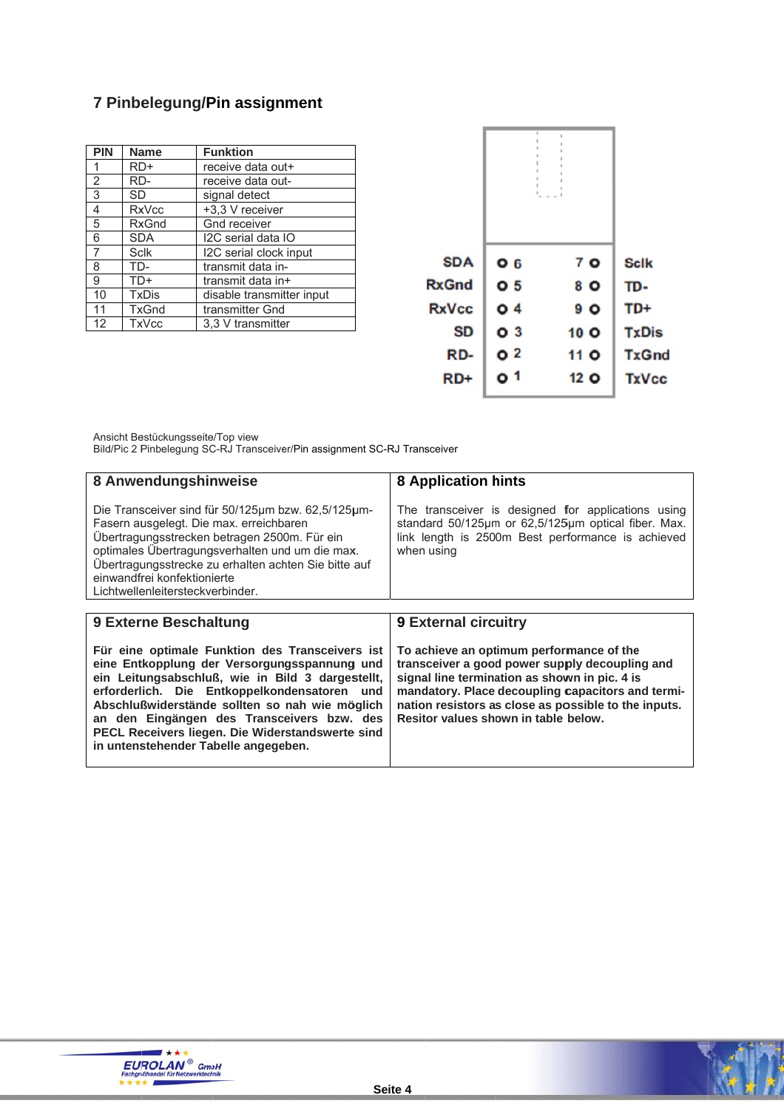# 7 Pinbelegung/Pin assignment

| <b>PIN</b> | <b>Name</b>  | <b>Funktion</b>           |
|------------|--------------|---------------------------|
| 1          | RD+          | receive data out+         |
| 2          | RD-          | receive data out-         |
| 3          | SD           | signal detect             |
| 4          | <b>RxVcc</b> | +3,3 V receiver           |
| 5          | <b>RxGnd</b> | Gnd receiver              |
| 6          | <b>SDA</b>   | I2C serial data IO        |
| 7          | <b>Sclk</b>  | I2C serial clock input    |
| 8          | TD-          | transmit data in-         |
| 9          | TD+          | transmit data in+         |
| 10         | <b>TxDis</b> | disable transmitter input |
| 11         | <b>TxGnd</b> | transmitter Gnd           |
| 12         | <b>TxVcc</b> | 3.3 V transmitter         |

|              | ÷<br>r         |                 |                |              |
|--------------|----------------|-----------------|----------------|--------------|
| <b>SDA</b>   | O <sub>6</sub> |                 | 7 <sub>O</sub> | <b>Sclk</b>  |
| <b>RxGnd</b> | O <sub>5</sub> |                 | 8 O            | TD-          |
| <b>RxVcc</b> | O <sub>4</sub> |                 | 9 <sub>O</sub> | TD+          |
| <b>SD</b>    | O <sub>3</sub> | 10 <sub>O</sub> |                | <b>TxDis</b> |
| RD-          | O <sub>2</sub> | 11 <sub>O</sub> |                | <b>TxGnd</b> |
| RD+          | O <sub>1</sub> | 12 <sub>O</sub> |                | <b>TxVcc</b> |

Ansicht Bestückungsseite/Top view<br>Bild/Pic 2 Pinbelegung SC-RJ Transceiver/Pin assignment SC-RJ Transceiver

| 8 Anwendungshinweise                                                                                                                                                                                                                                                                                                                                                                            | <b>8 Application hints</b>                                                                                                                                                                                                                                                                       |  |
|-------------------------------------------------------------------------------------------------------------------------------------------------------------------------------------------------------------------------------------------------------------------------------------------------------------------------------------------------------------------------------------------------|--------------------------------------------------------------------------------------------------------------------------------------------------------------------------------------------------------------------------------------------------------------------------------------------------|--|
| Die Transceiver sind für 50/125µm bzw. 62,5/125µm-<br>Fasern ausgelegt. Die max. erreichbaren<br>Übertragungsstrecken betragen 2500m. Für ein<br>optimales Übertragungsverhalten und um die max.<br>Übertragungsstrecke zu erhalten achten Sie bitte auf<br>einwandfrei konfektionierte<br>Lichtwellenleitersteckverbinder.                                                                     | The transceiver is designed for applications using<br>standard 50/125µm or 62,5/125µm optical fiber. Max.<br>link length is 2500m Best performance is achieved<br>when using                                                                                                                     |  |
|                                                                                                                                                                                                                                                                                                                                                                                                 |                                                                                                                                                                                                                                                                                                  |  |
| 9 Externe Beschaltung                                                                                                                                                                                                                                                                                                                                                                           | <b>9 External circuitry</b>                                                                                                                                                                                                                                                                      |  |
| Für eine optimale Funktion des Transceivers ist<br>eine Entkopplung der Versorgungsspannung und<br>ein Leitungsabschluß, wie in Bild 3 dargestellt,<br>erforderlich. Die Entkoppelkondensatoren und<br>Abschlußwiderstände sollten so nah wie möglich<br>an den Eingängen des Transceivers bzw. des<br>PECL Receivers liegen. Die Widerstandswerte sind<br>in untenstehender Tabelle angegeben. | To achieve an optimum performance of the<br>transceiver a good power supply decoupling and<br>signal line termination as shown in pic. 4 is<br>mandatory. Place decoupling capacitors and termi-<br>nation resistors as close as possible to the inputs.<br>Resitor values shown in table below. |  |



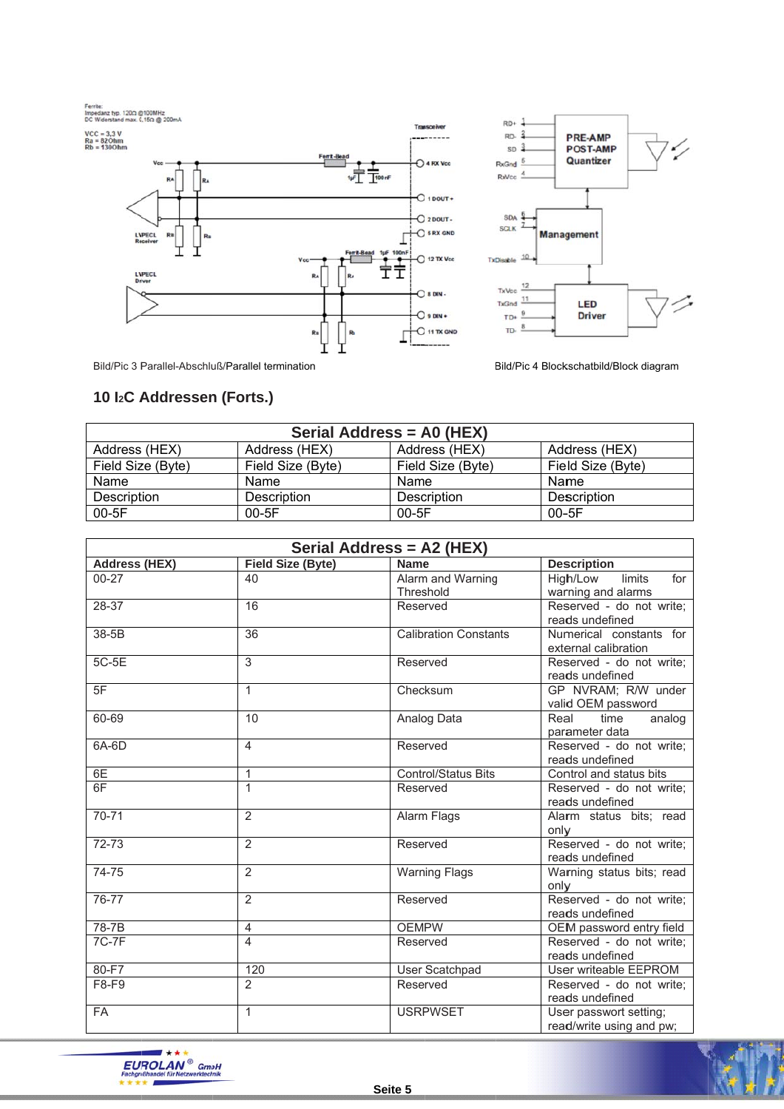



Bild/Pic 3 Parallel-Abschluß/Parallel termination

Bild/Pic 4 Blockschatbild/Block diagram

### 10 I<sub>2</sub>C Addressen (Forts.)

| Serial Address = A0 (HEX) |                   |                    |                   |  |
|---------------------------|-------------------|--------------------|-------------------|--|
| Address (HEX)             | Address (HEX)     | Address (HEX)      | Address (HEX)     |  |
| Field Size (Byte)         | Field Size (Byte) | Field Size (Byte)  | Field Size (Byte) |  |
| Name                      | Name              | Name               | Name              |  |
| Description               | Description       | <b>Description</b> | Description       |  |
| $00-5F$                   | $00-5F$           | $00-5F$            | $00 - 5F$         |  |

| Serial Address = A2 (HEX)                                              |                                                                                                                              |                                                                                                                                                                                                                      |                                                                                                                                                                                                                                                                                                                                                                                                                                                             |
|------------------------------------------------------------------------|------------------------------------------------------------------------------------------------------------------------------|----------------------------------------------------------------------------------------------------------------------------------------------------------------------------------------------------------------------|-------------------------------------------------------------------------------------------------------------------------------------------------------------------------------------------------------------------------------------------------------------------------------------------------------------------------------------------------------------------------------------------------------------------------------------------------------------|
| <b>Address (HEX)</b>                                                   | <b>Field Size (Byte)</b>                                                                                                     | <b>Name</b>                                                                                                                                                                                                          | <b>Description</b>                                                                                                                                                                                                                                                                                                                                                                                                                                          |
| $00 - 27$                                                              | 40                                                                                                                           | Alarm and Warning                                                                                                                                                                                                    | limits<br>High/Low<br>for                                                                                                                                                                                                                                                                                                                                                                                                                                   |
|                                                                        |                                                                                                                              | Threshold                                                                                                                                                                                                            | warning and alarms                                                                                                                                                                                                                                                                                                                                                                                                                                          |
| 28-37                                                                  | 16                                                                                                                           | Reserved                                                                                                                                                                                                             | Reserved - do not write;                                                                                                                                                                                                                                                                                                                                                                                                                                    |
|                                                                        |                                                                                                                              |                                                                                                                                                                                                                      | reads undefined                                                                                                                                                                                                                                                                                                                                                                                                                                             |
| 38-5B                                                                  | 36                                                                                                                           | <b>Calibration Constants</b>                                                                                                                                                                                         | Numerical constants for                                                                                                                                                                                                                                                                                                                                                                                                                                     |
|                                                                        |                                                                                                                              |                                                                                                                                                                                                                      | external calibration                                                                                                                                                                                                                                                                                                                                                                                                                                        |
| 5C-5E                                                                  | 3                                                                                                                            | Reserved                                                                                                                                                                                                             | Reserved - do not write;                                                                                                                                                                                                                                                                                                                                                                                                                                    |
|                                                                        |                                                                                                                              |                                                                                                                                                                                                                      |                                                                                                                                                                                                                                                                                                                                                                                                                                                             |
|                                                                        |                                                                                                                              |                                                                                                                                                                                                                      |                                                                                                                                                                                                                                                                                                                                                                                                                                                             |
|                                                                        |                                                                                                                              |                                                                                                                                                                                                                      |                                                                                                                                                                                                                                                                                                                                                                                                                                                             |
|                                                                        |                                                                                                                              |                                                                                                                                                                                                                      | analog                                                                                                                                                                                                                                                                                                                                                                                                                                                      |
|                                                                        |                                                                                                                              |                                                                                                                                                                                                                      |                                                                                                                                                                                                                                                                                                                                                                                                                                                             |
|                                                                        |                                                                                                                              |                                                                                                                                                                                                                      |                                                                                                                                                                                                                                                                                                                                                                                                                                                             |
|                                                                        |                                                                                                                              |                                                                                                                                                                                                                      |                                                                                                                                                                                                                                                                                                                                                                                                                                                             |
|                                                                        |                                                                                                                              |                                                                                                                                                                                                                      | Reserved - do not write;                                                                                                                                                                                                                                                                                                                                                                                                                                    |
|                                                                        |                                                                                                                              |                                                                                                                                                                                                                      |                                                                                                                                                                                                                                                                                                                                                                                                                                                             |
| $70 - 71$                                                              | $\overline{2}$                                                                                                               |                                                                                                                                                                                                                      | Alarm status bits; read                                                                                                                                                                                                                                                                                                                                                                                                                                     |
|                                                                        |                                                                                                                              |                                                                                                                                                                                                                      | only                                                                                                                                                                                                                                                                                                                                                                                                                                                        |
| 72-73                                                                  | 2                                                                                                                            | Reserved                                                                                                                                                                                                             | Reserved - do not write;                                                                                                                                                                                                                                                                                                                                                                                                                                    |
|                                                                        |                                                                                                                              |                                                                                                                                                                                                                      | reads undefined                                                                                                                                                                                                                                                                                                                                                                                                                                             |
| 74-75                                                                  | 2                                                                                                                            |                                                                                                                                                                                                                      | Warning status bits; read                                                                                                                                                                                                                                                                                                                                                                                                                                   |
|                                                                        |                                                                                                                              |                                                                                                                                                                                                                      |                                                                                                                                                                                                                                                                                                                                                                                                                                                             |
|                                                                        |                                                                                                                              |                                                                                                                                                                                                                      |                                                                                                                                                                                                                                                                                                                                                                                                                                                             |
|                                                                        |                                                                                                                              |                                                                                                                                                                                                                      |                                                                                                                                                                                                                                                                                                                                                                                                                                                             |
|                                                                        |                                                                                                                              |                                                                                                                                                                                                                      |                                                                                                                                                                                                                                                                                                                                                                                                                                                             |
|                                                                        |                                                                                                                              |                                                                                                                                                                                                                      |                                                                                                                                                                                                                                                                                                                                                                                                                                                             |
|                                                                        |                                                                                                                              |                                                                                                                                                                                                                      |                                                                                                                                                                                                                                                                                                                                                                                                                                                             |
|                                                                        |                                                                                                                              |                                                                                                                                                                                                                      |                                                                                                                                                                                                                                                                                                                                                                                                                                                             |
|                                                                        |                                                                                                                              |                                                                                                                                                                                                                      |                                                                                                                                                                                                                                                                                                                                                                                                                                                             |
|                                                                        |                                                                                                                              |                                                                                                                                                                                                                      |                                                                                                                                                                                                                                                                                                                                                                                                                                                             |
|                                                                        |                                                                                                                              |                                                                                                                                                                                                                      |                                                                                                                                                                                                                                                                                                                                                                                                                                                             |
| 60-69<br>6A-6D<br>76-77<br>$78 - 7B$<br><b>7C-7F</b><br>80-F7<br>F8-F9 | $\mathbf{1}$<br>10<br>4<br>$\mathbf{1}$<br>$\mathbf{1}$<br>$\overline{2}$<br>4<br>4<br>120<br>$\overline{2}$<br>$\mathbf{1}$ | Checksum<br>Analog Data<br>Reserved<br><b>Control/Status Bits</b><br>Reserved<br><b>Alarm Flags</b><br><b>Warning Flags</b><br>Reserved<br><b>OEMPW</b><br>Reserved<br>User Scatchpad<br>Reserved<br><b>USRPWSET</b> | reads undefined<br>GP NVRAM; R/W under<br>valid OEM password<br>time<br>Real<br>parameter data<br>Reserved - do not write;<br>reads undefined<br>Control and status bits<br>reads undefined<br>only<br>Reserved - do not write;<br>reads undefined<br>OEM password entry field<br>Reserved - do not write;<br>reads undefined<br>User writeable EEPROM<br>Reserved - do not write;<br>reads undefined<br>User passwort setting;<br>read/write using and pw; |



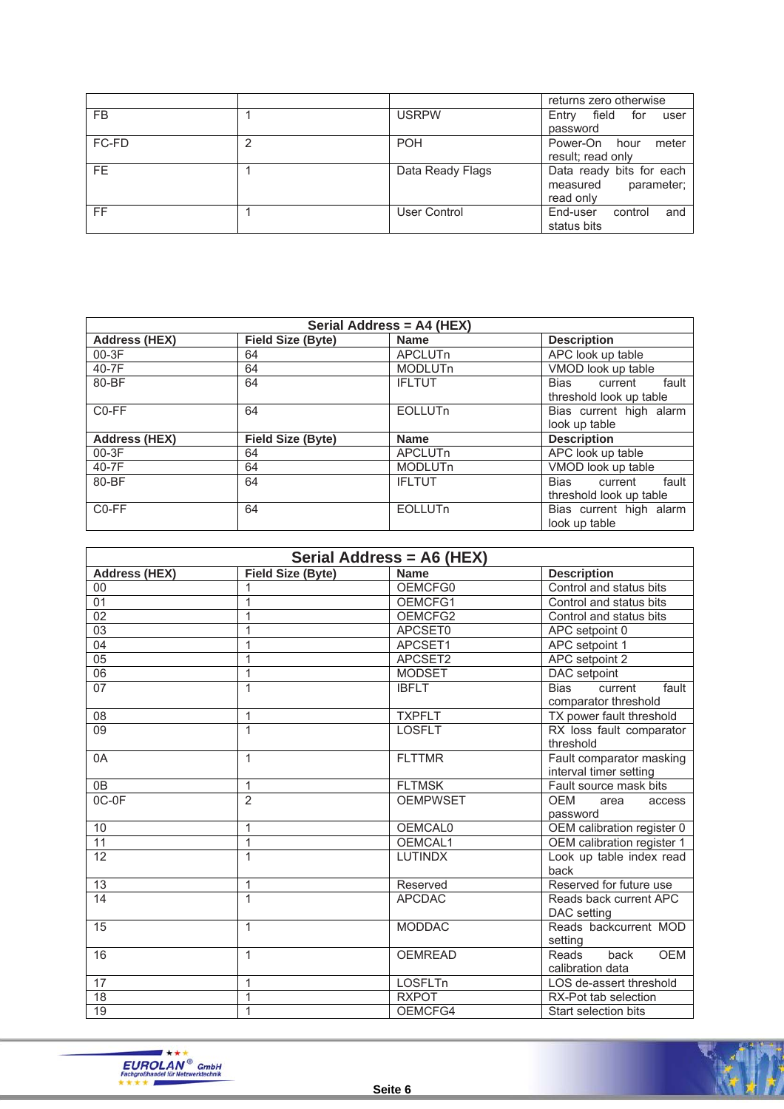|           |                  | returns zero otherwise                                          |
|-----------|------------------|-----------------------------------------------------------------|
| <b>FB</b> | <b>USRPW</b>     | field<br>Entry<br>for<br>user<br>password                       |
| FC-FD     | <b>POH</b>       | meter<br>Power-On<br>hour<br>result; read only                  |
| FE.       | Data Ready Flags | Data ready bits for each<br>parameter;<br>measured<br>read only |
| FF.       | User Control     | End-user<br>control<br>and<br>status bits                       |

| Serial Address = A4 (HEX) |                          |                |                                                            |
|---------------------------|--------------------------|----------------|------------------------------------------------------------|
| <b>Address (HEX)</b>      | <b>Field Size (Byte)</b> | <b>Name</b>    | <b>Description</b>                                         |
| 00-3F                     | 64                       | <b>APCLUTn</b> | APC look up table                                          |
| 40-7F                     | 64                       | <b>MODLUTn</b> | VMOD look up table                                         |
| 80-BF                     | 64                       | <b>IFLTUT</b>  | fault<br>Bias<br>current<br>threshold look up table        |
| C <sub>0</sub> -FF        | 64                       | <b>EOLLUTn</b> | Bias current high alarm<br>look up table                   |
| <b>Address (HEX)</b>      | <b>Field Size (Byte)</b> | <b>Name</b>    | <b>Description</b>                                         |
| 00-3F                     | 64                       | APCLUTn        | APC look up table                                          |
| 40-7F                     | 64                       | <b>MODLUTn</b> | VMOD look up table                                         |
| 80-BF                     | 64                       | <b>IFLTUT</b>  | <b>Bias</b><br>fault<br>current<br>threshold look up table |
| C <sub>0</sub> -FF        | 64                       | <b>EOLLUTn</b> | Bias current high alarm<br>look up table                   |

| Serial Address = A6 (HEX) |                          |                 |                                                         |
|---------------------------|--------------------------|-----------------|---------------------------------------------------------|
| <b>Address (HEX)</b>      | <b>Field Size (Byte)</b> | <b>Name</b>     | <b>Description</b>                                      |
| 00                        | 1                        | OEMCFG0         | Control and status bits                                 |
| $\overline{01}$           | 1                        | OEMCFG1         | Control and status bits                                 |
| 02                        | 1                        | OEMCFG2         | Control and status bits                                 |
| $\overline{03}$           | 1                        | APCSET0         | APC setpoint 0                                          |
| 04                        | $\mathbf{1}$             | APCSET1         | APC setpoint 1                                          |
| 05                        | 1                        | APCSET2         | APC setpoint 2                                          |
| 06                        | $\mathbf{1}$             | <b>MODSET</b>   | DAC setpoint                                            |
| 07                        | $\overline{1}$           | <b>IBFLT</b>    | <b>Bias</b><br>fault<br>current<br>comparator threshold |
| 08                        | 1                        | <b>TXPFLT</b>   | TX power fault threshold                                |
| 09                        | $\mathbf{1}$             | <b>LOSFLT</b>   | RX loss fault comparator<br>threshold                   |
| 0A                        | $\mathbf{1}$             | <b>FLTTMR</b>   | Fault comparator masking<br>interval timer setting      |
| $\overline{OB}$           | $\mathbf{1}$             | <b>FLTMSK</b>   | Fault source mask bits                                  |
| $OC-OF$                   | $\overline{2}$           | <b>OEMPWSET</b> | <b>OEM</b><br>area<br>access<br>password                |
| 10                        | $\mathbf{1}$             | <b>OEMCAL0</b>  | OEM calibration register 0                              |
| $\overline{11}$           | $\mathbf{1}$             | OEMCAL1         | OEM calibration register 1                              |
| 12                        | $\mathbf{1}$             | <b>LUTINDX</b>  | Look up table index read<br>back                        |
| 13                        | $\mathbf{1}$             | Reserved        | Reserved for future use                                 |
| 14                        | $\mathbf{1}$             | <b>APCDAC</b>   | Reads back current APC<br>DAC setting                   |
| 15                        | 1                        | <b>MODDAC</b>   | Reads backcurrent MOD<br>setting                        |
| 16                        | $\mathbf{1}$             | <b>OEMREAD</b>  | Reads<br>back<br><b>OEM</b><br>calibration data         |
| 17                        | 1                        | <b>LOSFLTn</b>  | LOS de-assert threshold                                 |
| $\overline{18}$           | 1                        | <b>RXPOT</b>    | RX-Pot tab selection                                    |
| 19                        | 1                        | OEMCFG4         | Start selection bits                                    |



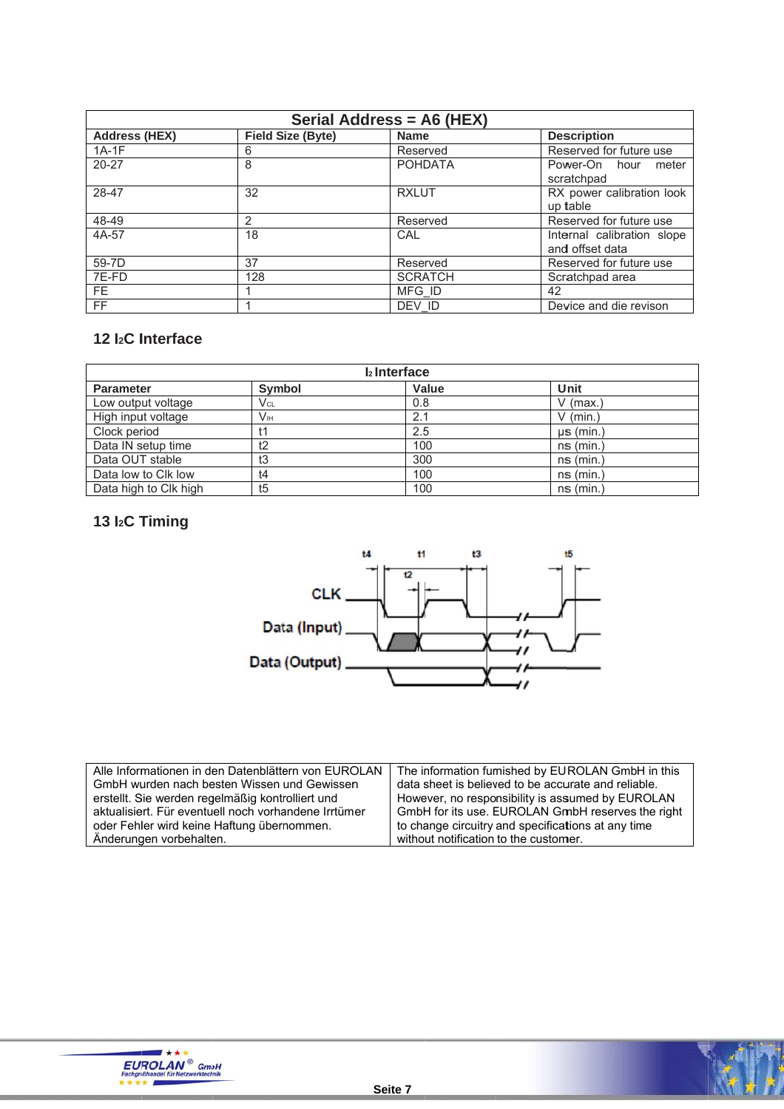| Serial Address = A6 (HEX) |                          |                |                                               |  |
|---------------------------|--------------------------|----------------|-----------------------------------------------|--|
| <b>Address (HEX)</b>      | <b>Field Size (Byte)</b> | <b>Name</b>    | <b>Description</b>                            |  |
| $1A-1F$                   | 6                        | Reserved       | Reserved for future use                       |  |
| $20 - 27$                 | 8                        | <b>POHDATA</b> | Power-On hour<br>meter<br>scratchpad          |  |
| 28-47                     | 32                       | <b>RXLUT</b>   | RX power calibration look<br>up table         |  |
| 48-49                     | $\mathcal{P}$            | Reserved       | Reserved for future use                       |  |
| 4A-57                     | 18                       | CAL            | Internal calibration slope<br>and offset data |  |
| 59-7D                     | 37                       | Reserved       | Reserved for future use                       |  |
| 7E-FD                     | 128                      | <b>SCRATCH</b> | Scratchpad area                               |  |
| FE.                       |                          | MFG ID         | 42                                            |  |
| <b>FF</b>                 |                          | DEV ID         | Device and die revison                        |  |

#### 12 I<sub>2</sub>C Interface

| I <sub>2</sub> Interface |                |       |                |  |
|--------------------------|----------------|-------|----------------|--|
| <b>Parameter</b>         | <b>Symbol</b>  | Value | Unit           |  |
| Low output voltage       | Vcl            | 0.8   | V (max.)       |  |
| High input voltage       | Vн             | 2.1   | $V$ (min.)     |  |
| Clock period             | t1             | 2.5   | $\mu$ s (min.) |  |
| Data IN setup time       | t2             | 100   | $ns$ (min.)    |  |
| Data OUT stable          | tЗ             | 300   | $ns$ (min.)    |  |
| Data low to Clk low      | t4             | 100   | $ns$ (min.)    |  |
| Data high to Clk high    | t <sub>5</sub> | 100   | $ns$ (min.)    |  |

# 13 I<sub>2</sub>C Timing



| Alle Informationen in den Datenblättern von EUROLAN  | The information furnished by EUROLAN GmbH in this   |  |  |
|------------------------------------------------------|-----------------------------------------------------|--|--|
| GmbH wurden nach besten Wissen und Gewissen          | data sheet is believed to be accurate and reliable. |  |  |
| erstellt. Sie werden regelmäßig kontrolliert und     | However, no responsibility is assumed by EUROLAN    |  |  |
| aktualisiert. Für eventuell noch vorhandene Irrtümer | GmbH for its use. EUROLAN GmbH reserves the right   |  |  |
| oder Fehler wird keine Haftung übernommen.           | to change circuitry and specifications at any time  |  |  |
| Änderungen vorbehalten.                              | without notification to the customer.               |  |  |